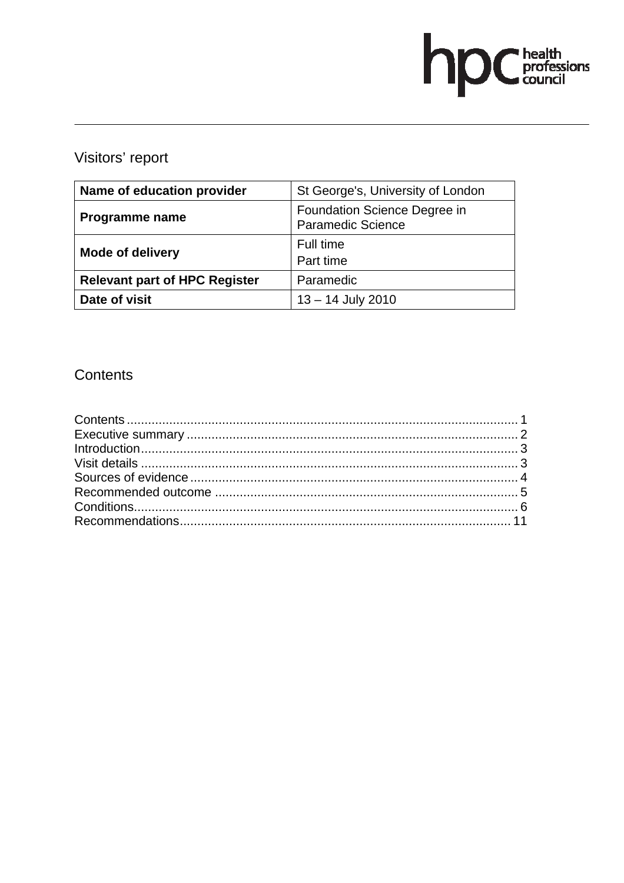# hpChealth<br>council

# Visitors' report

| Name of education provider           | St George's, University of London                        |
|--------------------------------------|----------------------------------------------------------|
| Programme name                       | Foundation Science Degree in<br><b>Paramedic Science</b> |
| <b>Mode of delivery</b>              | Full time                                                |
|                                      | Part time                                                |
| <b>Relevant part of HPC Register</b> | Paramedic                                                |
| Date of visit                        | $13 - 14$ July 2010                                      |

# Contents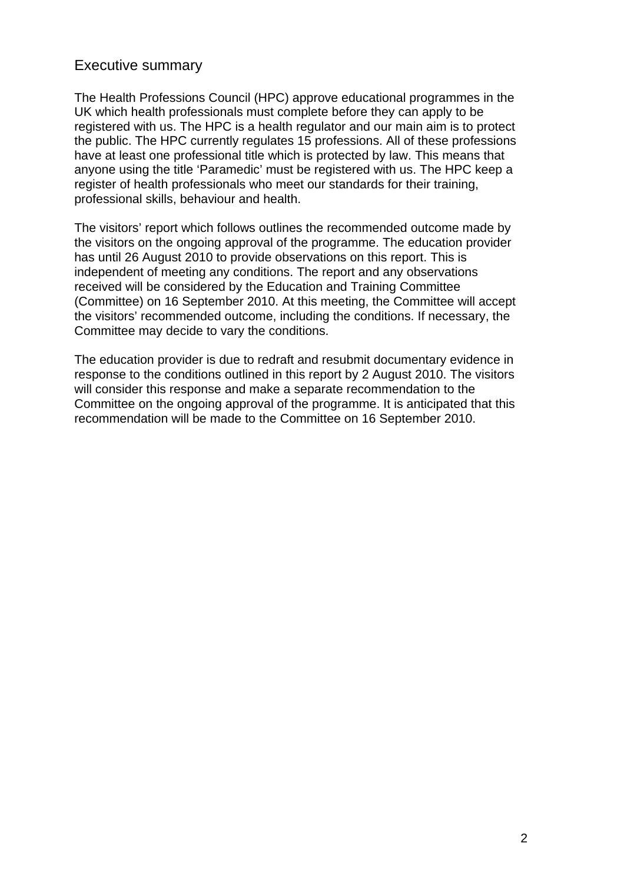# Executive summary

The Health Professions Council (HPC) approve educational programmes in the UK which health professionals must complete before they can apply to be registered with us. The HPC is a health regulator and our main aim is to protect the public. The HPC currently regulates 15 professions. All of these professions have at least one professional title which is protected by law. This means that anyone using the title 'Paramedic' must be registered with us. The HPC keep a register of health professionals who meet our standards for their training, professional skills, behaviour and health.

The visitors' report which follows outlines the recommended outcome made by the visitors on the ongoing approval of the programme. The education provider has until 26 August 2010 to provide observations on this report. This is independent of meeting any conditions. The report and any observations received will be considered by the Education and Training Committee (Committee) on 16 September 2010. At this meeting, the Committee will accept the visitors' recommended outcome, including the conditions. If necessary, the Committee may decide to vary the conditions.

The education provider is due to redraft and resubmit documentary evidence in response to the conditions outlined in this report by 2 August 2010. The visitors will consider this response and make a separate recommendation to the Committee on the ongoing approval of the programme. It is anticipated that this recommendation will be made to the Committee on 16 September 2010.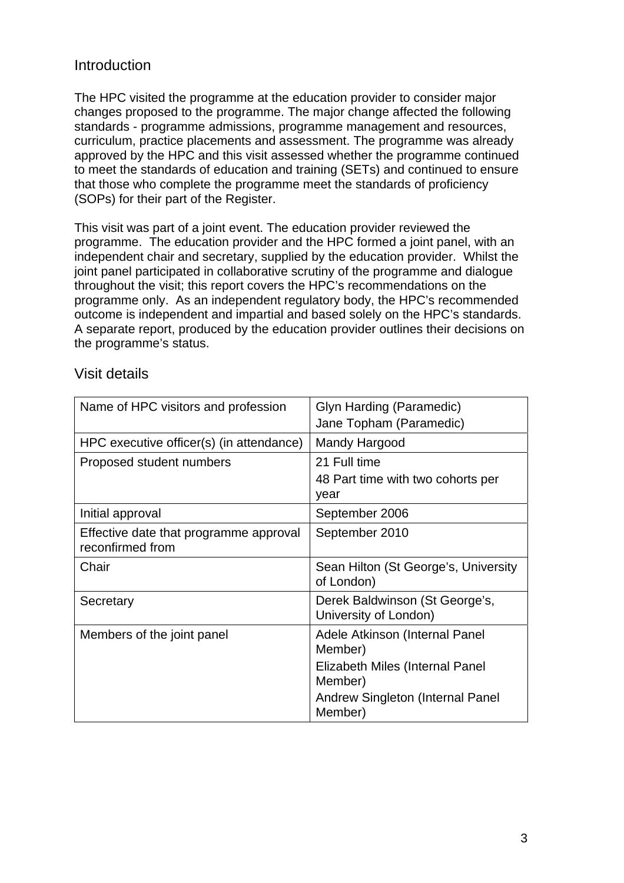# Introduction

The HPC visited the programme at the education provider to consider major changes proposed to the programme. The major change affected the following standards - programme admissions, programme management and resources, curriculum, practice placements and assessment. The programme was already approved by the HPC and this visit assessed whether the programme continued to meet the standards of education and training (SETs) and continued to ensure that those who complete the programme meet the standards of proficiency (SOPs) for their part of the Register.

This visit was part of a joint event. The education provider reviewed the programme. The education provider and the HPC formed a joint panel, with an independent chair and secretary, supplied by the education provider. Whilst the joint panel participated in collaborative scrutiny of the programme and dialogue throughout the visit; this report covers the HPC's recommendations on the programme only. As an independent regulatory body, the HPC's recommended outcome is independent and impartial and based solely on the HPC's standards. A separate report, produced by the education provider outlines their decisions on the programme's status.

| Name of HPC visitors and profession                        | Glyn Harding (Paramedic)<br>Jane Topham (Paramedic)       |  |  |
|------------------------------------------------------------|-----------------------------------------------------------|--|--|
| HPC executive officer(s) (in attendance)                   | Mandy Hargood                                             |  |  |
| Proposed student numbers                                   | 21 Full time<br>48 Part time with two cohorts per<br>year |  |  |
| Initial approval                                           | September 2006                                            |  |  |
| Effective date that programme approval<br>reconfirmed from | September 2010                                            |  |  |
| Chair                                                      | Sean Hilton (St George's, University<br>of London)        |  |  |
| Secretary                                                  | Derek Baldwinson (St George's,<br>University of London)   |  |  |
| Members of the joint panel                                 | Adele Atkinson (Internal Panel<br>Member)                 |  |  |
|                                                            | Elizabeth Miles (Internal Panel<br>Member)                |  |  |
|                                                            | Andrew Singleton (Internal Panel<br>Member)               |  |  |

## Visit details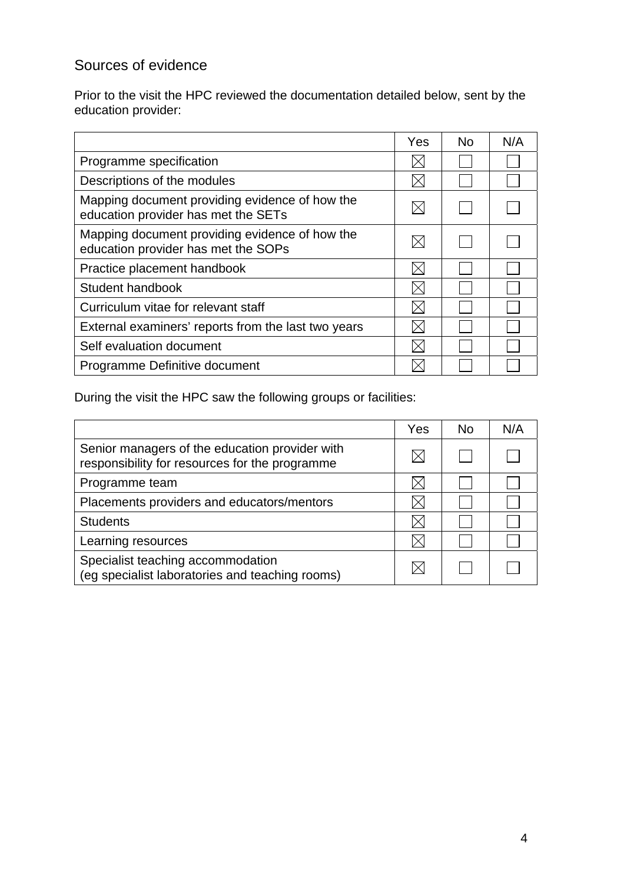# Sources of evidence

Prior to the visit the HPC reviewed the documentation detailed below, sent by the education provider:

|                                                                                       | Yes | <b>No</b> | N/A |
|---------------------------------------------------------------------------------------|-----|-----------|-----|
| Programme specification                                                               |     |           |     |
| Descriptions of the modules                                                           |     |           |     |
| Mapping document providing evidence of how the<br>education provider has met the SETs |     |           |     |
| Mapping document providing evidence of how the<br>education provider has met the SOPs |     |           |     |
| Practice placement handbook                                                           |     |           |     |
| Student handbook                                                                      |     |           |     |
| Curriculum vitae for relevant staff                                                   |     |           |     |
| External examiners' reports from the last two years                                   |     |           |     |
| Self evaluation document                                                              |     |           |     |
| Programme Definitive document                                                         |     |           |     |

During the visit the HPC saw the following groups or facilities:

|                                                                                                  | Yes | <b>No</b> | N/A |
|--------------------------------------------------------------------------------------------------|-----|-----------|-----|
| Senior managers of the education provider with<br>responsibility for resources for the programme |     |           |     |
| Programme team                                                                                   |     |           |     |
| Placements providers and educators/mentors                                                       |     |           |     |
| <b>Students</b>                                                                                  |     |           |     |
| Learning resources                                                                               |     |           |     |
| Specialist teaching accommodation<br>(eg specialist laboratories and teaching rooms)             |     |           |     |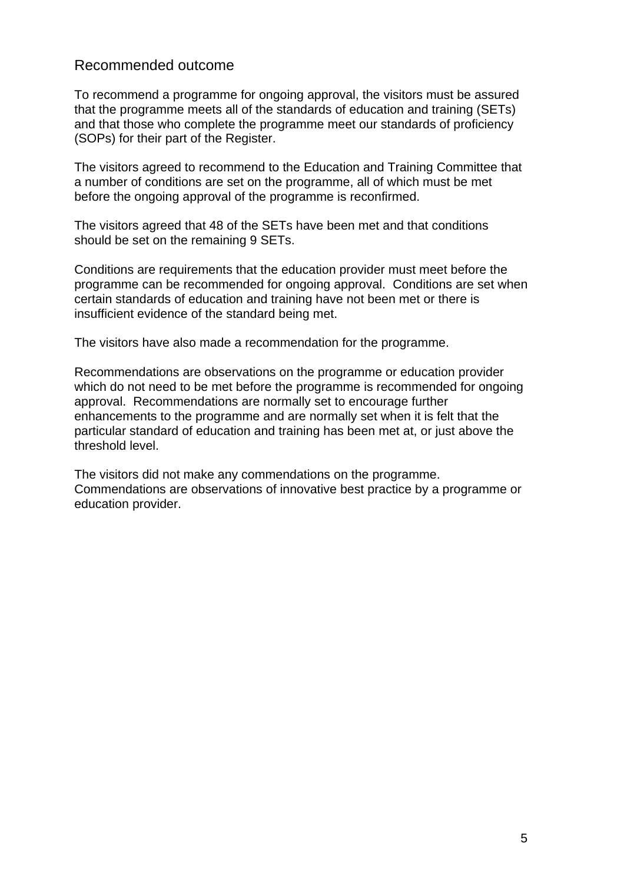# Recommended outcome

To recommend a programme for ongoing approval, the visitors must be assured that the programme meets all of the standards of education and training (SETs) and that those who complete the programme meet our standards of proficiency (SOPs) for their part of the Register.

The visitors agreed to recommend to the Education and Training Committee that a number of conditions are set on the programme, all of which must be met before the ongoing approval of the programme is reconfirmed.

The visitors agreed that 48 of the SETs have been met and that conditions should be set on the remaining 9 SETs.

Conditions are requirements that the education provider must meet before the programme can be recommended for ongoing approval. Conditions are set when certain standards of education and training have not been met or there is insufficient evidence of the standard being met.

The visitors have also made a recommendation for the programme.

Recommendations are observations on the programme or education provider which do not need to be met before the programme is recommended for ongoing approval. Recommendations are normally set to encourage further enhancements to the programme and are normally set when it is felt that the particular standard of education and training has been met at, or just above the threshold level.

The visitors did not make any commendations on the programme. Commendations are observations of innovative best practice by a programme or education provider.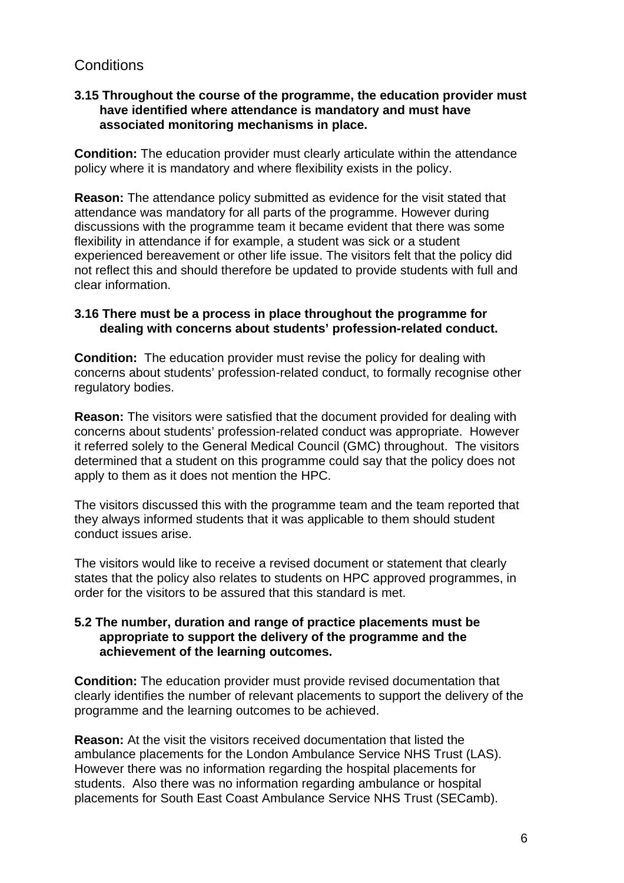# **Conditions**

#### **3.15 Throughout the course of the programme, the education provider must have identified where attendance is mandatory and must have associated monitoring mechanisms in place.**

**Condition:** The education provider must clearly articulate within the attendance policy where it is mandatory and where flexibility exists in the policy.

**Reason:** The attendance policy submitted as evidence for the visit stated that attendance was mandatory for all parts of the programme. However during discussions with the programme team it became evident that there was some flexibility in attendance if for example, a student was sick or a student experienced bereavement or other life issue. The visitors felt that the policy did not reflect this and should therefore be updated to provide students with full and clear information.

#### **3.16 There must be a process in place throughout the programme for dealing with concerns about students' profession-related conduct.**

**Condition:** The education provider must revise the policy for dealing with concerns about students' profession-related conduct, to formally recognise other regulatory bodies.

**Reason:** The visitors were satisfied that the document provided for dealing with concerns about students' profession-related conduct was appropriate. However it referred solely to the General Medical Council (GMC) throughout. The visitors determined that a student on this programme could say that the policy does not apply to them as it does not mention the HPC.

The visitors discussed this with the programme team and the team reported that they always informed students that it was applicable to them should student conduct issues arise.

The visitors would like to receive a revised document or statement that clearly states that the policy also relates to students on HPC approved programmes, in order for the visitors to be assured that this standard is met.

#### **5.2 The number, duration and range of practice placements must be appropriate to support the delivery of the programme and the achievement of the learning outcomes.**

**Condition:** The education provider must provide revised documentation that clearly identifies the number of relevant placements to support the delivery of the programme and the learning outcomes to be achieved.

**Reason:** At the visit the visitors received documentation that listed the ambulance placements for the London Ambulance Service NHS Trust (LAS). However there was no information regarding the hospital placements for students. Also there was no information regarding ambulance or hospital placements for South East Coast Ambulance Service NHS Trust (SECamb).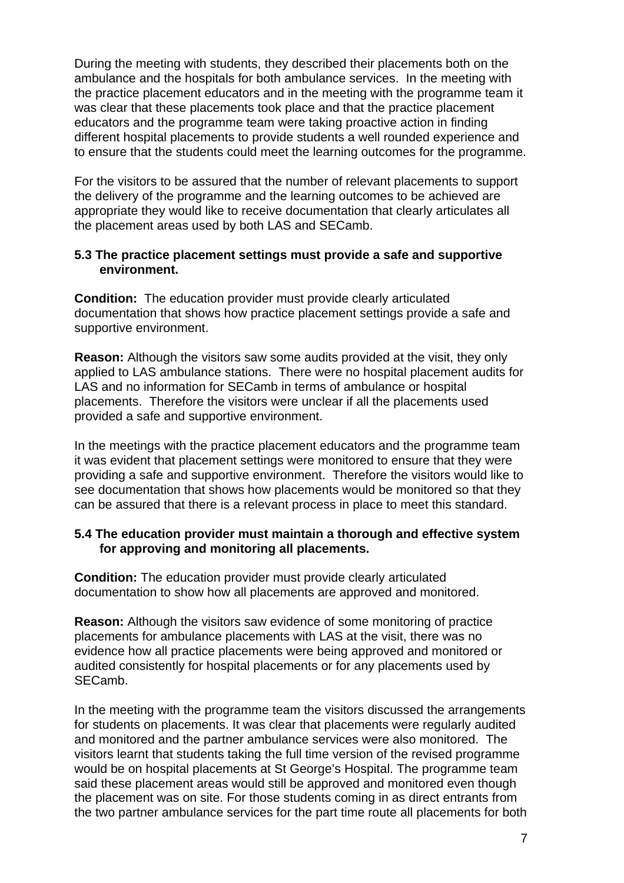During the meeting with students, they described their placements both on the ambulance and the hospitals for both ambulance services. In the meeting with the practice placement educators and in the meeting with the programme team it was clear that these placements took place and that the practice placement educators and the programme team were taking proactive action in finding different hospital placements to provide students a well rounded experience and to ensure that the students could meet the learning outcomes for the programme.

For the visitors to be assured that the number of relevant placements to support the delivery of the programme and the learning outcomes to be achieved are appropriate they would like to receive documentation that clearly articulates all the placement areas used by both LAS and SECamb.

#### **5.3 The practice placement settings must provide a safe and supportive environment.**

**Condition:** The education provider must provide clearly articulated documentation that shows how practice placement settings provide a safe and supportive environment.

**Reason:** Although the visitors saw some audits provided at the visit, they only applied to LAS ambulance stations. There were no hospital placement audits for LAS and no information for SECamb in terms of ambulance or hospital placements. Therefore the visitors were unclear if all the placements used provided a safe and supportive environment.

In the meetings with the practice placement educators and the programme team it was evident that placement settings were monitored to ensure that they were providing a safe and supportive environment. Therefore the visitors would like to see documentation that shows how placements would be monitored so that they can be assured that there is a relevant process in place to meet this standard.

#### **5.4 The education provider must maintain a thorough and effective system for approving and monitoring all placements.**

**Condition:** The education provider must provide clearly articulated documentation to show how all placements are approved and monitored.

**Reason:** Although the visitors saw evidence of some monitoring of practice placements for ambulance placements with LAS at the visit, there was no evidence how all practice placements were being approved and monitored or audited consistently for hospital placements or for any placements used by SECamb.

In the meeting with the programme team the visitors discussed the arrangements for students on placements. It was clear that placements were regularly audited and monitored and the partner ambulance services were also monitored. The visitors learnt that students taking the full time version of the revised programme would be on hospital placements at St George's Hospital. The programme team said these placement areas would still be approved and monitored even though the placement was on site. For those students coming in as direct entrants from the two partner ambulance services for the part time route all placements for both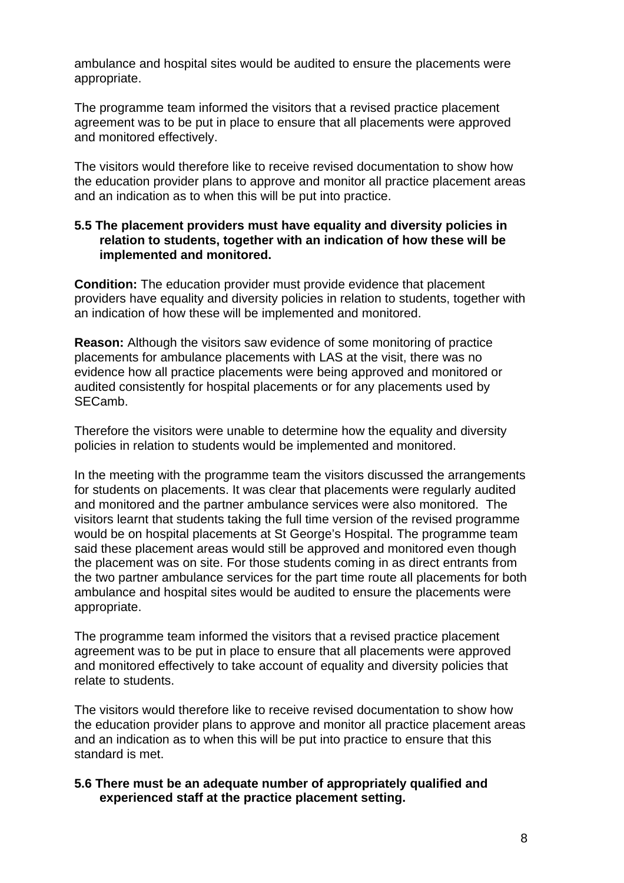ambulance and hospital sites would be audited to ensure the placements were appropriate.

The programme team informed the visitors that a revised practice placement agreement was to be put in place to ensure that all placements were approved and monitored effectively.

The visitors would therefore like to receive revised documentation to show how the education provider plans to approve and monitor all practice placement areas and an indication as to when this will be put into practice.

#### **5.5 The placement providers must have equality and diversity policies in relation to students, together with an indication of how these will be implemented and monitored.**

**Condition:** The education provider must provide evidence that placement providers have equality and diversity policies in relation to students, together with an indication of how these will be implemented and monitored.

**Reason:** Although the visitors saw evidence of some monitoring of practice placements for ambulance placements with LAS at the visit, there was no evidence how all practice placements were being approved and monitored or audited consistently for hospital placements or for any placements used by SECamb.

Therefore the visitors were unable to determine how the equality and diversity policies in relation to students would be implemented and monitored.

In the meeting with the programme team the visitors discussed the arrangements for students on placements. It was clear that placements were regularly audited and monitored and the partner ambulance services were also monitored. The visitors learnt that students taking the full time version of the revised programme would be on hospital placements at St George's Hospital. The programme team said these placement areas would still be approved and monitored even though the placement was on site. For those students coming in as direct entrants from the two partner ambulance services for the part time route all placements for both ambulance and hospital sites would be audited to ensure the placements were appropriate.

The programme team informed the visitors that a revised practice placement agreement was to be put in place to ensure that all placements were approved and monitored effectively to take account of equality and diversity policies that relate to students.

The visitors would therefore like to receive revised documentation to show how the education provider plans to approve and monitor all practice placement areas and an indication as to when this will be put into practice to ensure that this standard is met.

#### **5.6 There must be an adequate number of appropriately qualified and experienced staff at the practice placement setting.**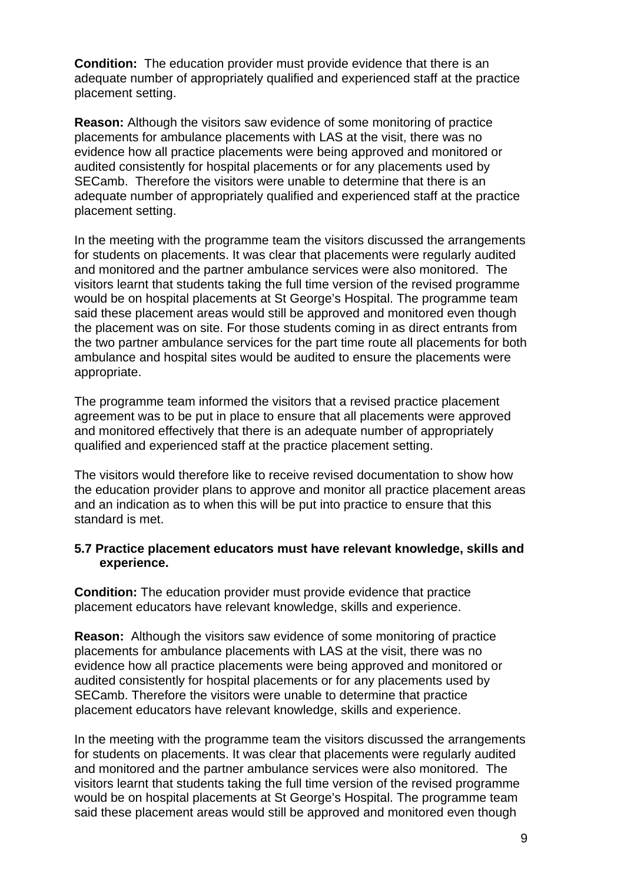**Condition:** The education provider must provide evidence that there is an adequate number of appropriately qualified and experienced staff at the practice placement setting.

**Reason:** Although the visitors saw evidence of some monitoring of practice placements for ambulance placements with LAS at the visit, there was no evidence how all practice placements were being approved and monitored or audited consistently for hospital placements or for any placements used by SECamb. Therefore the visitors were unable to determine that there is an adequate number of appropriately qualified and experienced staff at the practice placement setting.

In the meeting with the programme team the visitors discussed the arrangements for students on placements. It was clear that placements were regularly audited and monitored and the partner ambulance services were also monitored. The visitors learnt that students taking the full time version of the revised programme would be on hospital placements at St George's Hospital. The programme team said these placement areas would still be approved and monitored even though the placement was on site. For those students coming in as direct entrants from the two partner ambulance services for the part time route all placements for both ambulance and hospital sites would be audited to ensure the placements were appropriate.

The programme team informed the visitors that a revised practice placement agreement was to be put in place to ensure that all placements were approved and monitored effectively that there is an adequate number of appropriately qualified and experienced staff at the practice placement setting.

The visitors would therefore like to receive revised documentation to show how the education provider plans to approve and monitor all practice placement areas and an indication as to when this will be put into practice to ensure that this standard is met.

#### **5.7 Practice placement educators must have relevant knowledge, skills and experience.**

**Condition:** The education provider must provide evidence that practice placement educators have relevant knowledge, skills and experience.

**Reason:** Although the visitors saw evidence of some monitoring of practice placements for ambulance placements with LAS at the visit, there was no evidence how all practice placements were being approved and monitored or audited consistently for hospital placements or for any placements used by SECamb. Therefore the visitors were unable to determine that practice placement educators have relevant knowledge, skills and experience.

In the meeting with the programme team the visitors discussed the arrangements for students on placements. It was clear that placements were regularly audited and monitored and the partner ambulance services were also monitored. The visitors learnt that students taking the full time version of the revised programme would be on hospital placements at St George's Hospital. The programme team said these placement areas would still be approved and monitored even though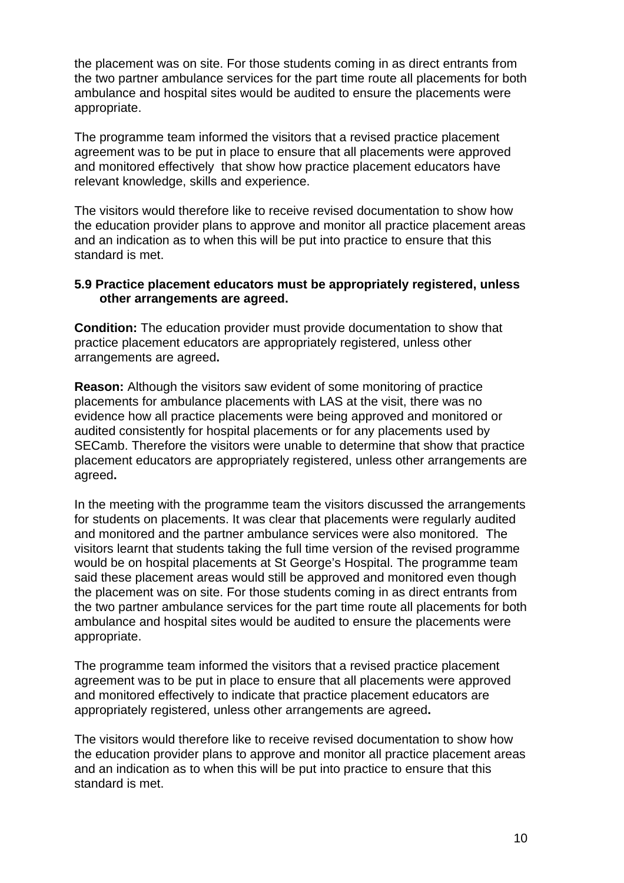the placement was on site. For those students coming in as direct entrants from the two partner ambulance services for the part time route all placements for both ambulance and hospital sites would be audited to ensure the placements were appropriate.

The programme team informed the visitors that a revised practice placement agreement was to be put in place to ensure that all placements were approved and monitored effectively that show how practice placement educators have relevant knowledge, skills and experience.

The visitors would therefore like to receive revised documentation to show how the education provider plans to approve and monitor all practice placement areas and an indication as to when this will be put into practice to ensure that this standard is met.

#### **5.9 Practice placement educators must be appropriately registered, unless other arrangements are agreed.**

**Condition:** The education provider must provide documentation to show that practice placement educators are appropriately registered, unless other arrangements are agreed**.** 

**Reason:** Although the visitors saw evident of some monitoring of practice placements for ambulance placements with LAS at the visit, there was no evidence how all practice placements were being approved and monitored or audited consistently for hospital placements or for any placements used by SECamb. Therefore the visitors were unable to determine that show that practice placement educators are appropriately registered, unless other arrangements are agreed**.** 

In the meeting with the programme team the visitors discussed the arrangements for students on placements. It was clear that placements were regularly audited and monitored and the partner ambulance services were also monitored. The visitors learnt that students taking the full time version of the revised programme would be on hospital placements at St George's Hospital. The programme team said these placement areas would still be approved and monitored even though the placement was on site. For those students coming in as direct entrants from the two partner ambulance services for the part time route all placements for both ambulance and hospital sites would be audited to ensure the placements were appropriate.

The programme team informed the visitors that a revised practice placement agreement was to be put in place to ensure that all placements were approved and monitored effectively to indicate that practice placement educators are appropriately registered, unless other arrangements are agreed**.** 

The visitors would therefore like to receive revised documentation to show how the education provider plans to approve and monitor all practice placement areas and an indication as to when this will be put into practice to ensure that this standard is met.